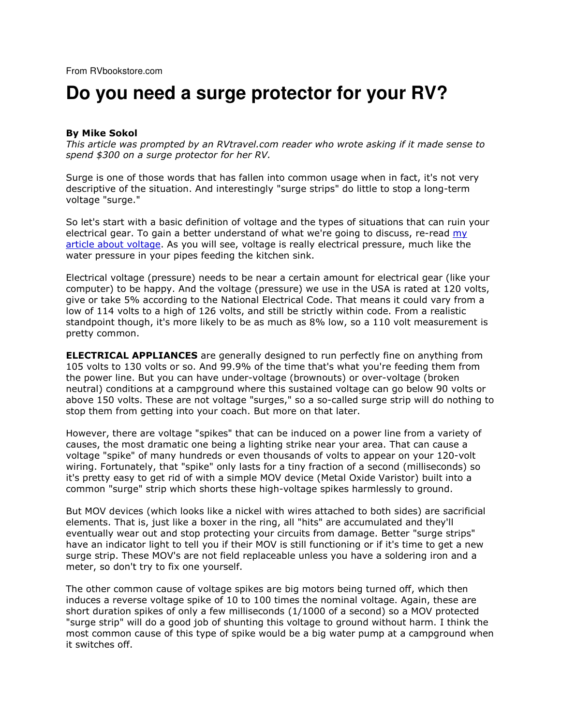## **Do you need a surge protector for your RV?**

## By Mike Sokol

This article was prompted by an RVtravel.com reader who wrote asking if it made sense to spend \$300 on a surge protector for her RV.

Surge is one of those words that has fallen into common usage when in fact, it's not very descriptive of the situation. And interestingly "surge strips" do little to stop a long-term voltage "surge."

So let's start with a basic definition of voltage and the types of situations that can ruin your electrical gear. To gain a better understand of what we're going to discuss, re-read my article about voltage. As you will see, voltage is really electrical pressure, much like the water pressure in your pipes feeding the kitchen sink.

Electrical voltage (pressure) needs to be near a certain amount for electrical gear (like your computer) to be happy. And the voltage (pressure) we use in the USA is rated at 120 volts, give or take 5% according to the National Electrical Code. That means it could vary from a low of 114 volts to a high of 126 volts, and still be strictly within code. From a realistic standpoint though, it's more likely to be as much as 8% low, so a 110 volt measurement is pretty common.

**ELECTRICAL APPLIANCES** are generally designed to run perfectly fine on anything from 105 volts to 130 volts or so. And 99.9% of the time that's what you're feeding them from the power line. But you can have under-voltage (brownouts) or over-voltage (broken neutral) conditions at a campground where this sustained voltage can go below 90 volts or above 150 volts. These are not voltage "surges," so a so-called surge strip will do nothing to stop them from getting into your coach. But more on that later.

However, there are voltage "spikes" that can be induced on a power line from a variety of causes, the most dramatic one being a lighting strike near your area. That can cause a voltage "spike" of many hundreds or even thousands of volts to appear on your 120-volt wiring. Fortunately, that "spike" only lasts for a tiny fraction of a second (milliseconds) so it's pretty easy to get rid of with a simple MOV device (Metal Oxide Varistor) built into a common "surge" strip which shorts these high-voltage spikes harmlessly to ground.

But MOV devices (which looks like a nickel with wires attached to both sides) are sacrificial elements. That is, just like a boxer in the ring, all "hits" are accumulated and they'll eventually wear out and stop protecting your circuits from damage. Better "surge strips" have an indicator light to tell you if their MOV is still functioning or if it's time to get a new surge strip. These MOV's are not field replaceable unless you have a soldering iron and a meter, so don't try to fix one yourself.

The other common cause of voltage spikes are big motors being turned off, which then induces a reverse voltage spike of 10 to 100 times the nominal voltage. Again, these are short duration spikes of only a few milliseconds (1/1000 of a second) so a MOV protected "surge strip" will do a good job of shunting this voltage to ground without harm. I think the most common cause of this type of spike would be a big water pump at a campground when it switches off.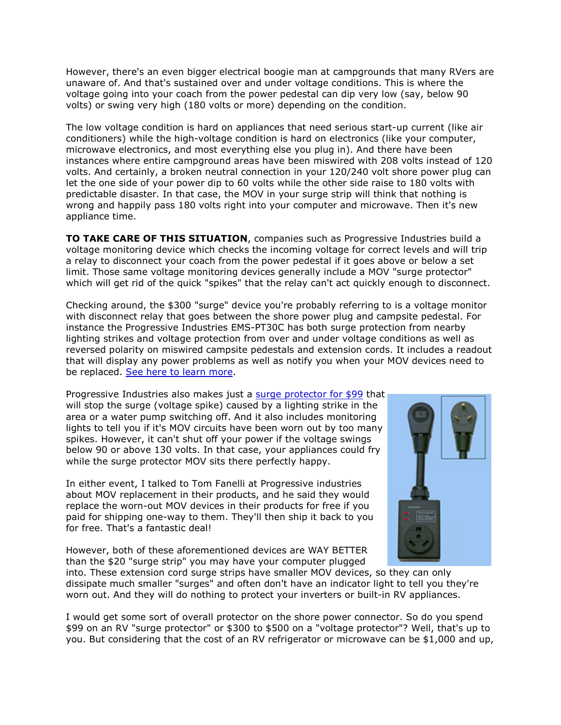However, there's an even bigger electrical boogie man at campgrounds that many RVers are unaware of. And that's sustained over and under voltage conditions. This is where the voltage going into your coach from the power pedestal can dip very low (say, below 90 volts) or swing very high (180 volts or more) depending on the condition.

The low voltage condition is hard on appliances that need serious start-up current (like air conditioners) while the high-voltage condition is hard on electronics (like your computer, microwave electronics, and most everything else you plug in). And there have been instances where entire campground areas have been miswired with 208 volts instead of 120 volts. And certainly, a broken neutral connection in your 120/240 volt shore power plug can let the one side of your power dip to 60 volts while the other side raise to 180 volts with predictable disaster. In that case, the MOV in your surge strip will think that nothing is wrong and happily pass 180 volts right into your computer and microwave. Then it's new appliance time.

TO TAKE CARE OF THIS SITUATION, companies such as Progressive Industries build a voltage monitoring device which checks the incoming voltage for correct levels and will trip a relay to disconnect your coach from the power pedestal if it goes above or below a set limit. Those same voltage monitoring devices generally include a MOV "surge protector" which will get rid of the quick "spikes" that the relay can't act quickly enough to disconnect.

Checking around, the \$300 "surge" device you're probably referring to is a voltage monitor with disconnect relay that goes between the shore power plug and campsite pedestal. For instance the Progressive Industries EMS-PT30C has both surge protection from nearby lighting strikes and voltage protection from over and under voltage conditions as well as reversed polarity on miswired campsite pedestals and extension cords. It includes a readout that will display any power problems as well as notify you when your MOV devices need to be replaced. See here to learn more.

Progressive Industries also makes just a surge protector for \$99 that will stop the surge (voltage spike) caused by a lighting strike in the area or a water pump switching off. And it also includes monitoring lights to tell you if it's MOV circuits have been worn out by too many spikes. However, it can't shut off your power if the voltage swings below 90 or above 130 volts. In that case, your appliances could fry while the surge protector MOV sits there perfectly happy.

In either event, I talked to Tom Fanelli at Progressive industries about MOV replacement in their products, and he said they would replace the worn-out MOV devices in their products for free if you paid for shipping one-way to them. They'll then ship it back to you for free. That's a fantastic deal!

However, both of these aforementioned devices are WAY BETTER than the \$20 "surge strip" you may have your computer plugged



into. These extension cord surge strips have smaller MOV devices, so they can only dissipate much smaller "surges" and often don't have an indicator light to tell you they're worn out. And they will do nothing to protect your inverters or built-in RV appliances.

I would get some sort of overall protector on the shore power connector. So do you spend \$99 on an RV "surge protector" or \$300 to \$500 on a "voltage protector"? Well, that's up to you. But considering that the cost of an RV refrigerator or microwave can be \$1,000 and up,